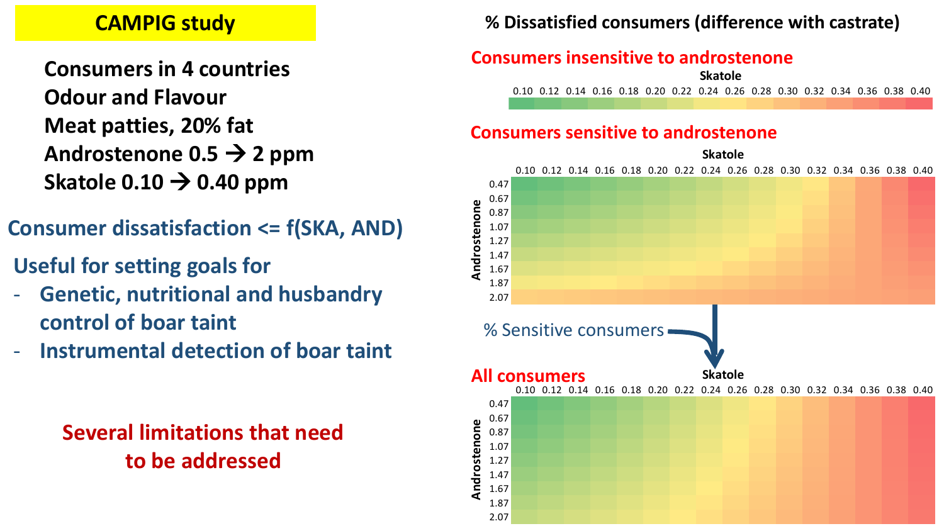## **CAMPIG study**

**Consumers in 4 countries Odour and Flavour Meat patties, 20% fat Androstenone 0.5 2 ppm** Skatole  $0.10 \rightarrow 0.40$  ppm

- **Consumer dissatisfaction <= f(SKA, AND)**
- **Useful for setting goals for**
- **Genetic, nutritional and husbandry control of boar taint**
- **Instrumental detection of boar taint**

**Several limitations that need to be addressed**

### **% Dissatisfied consumers (difference with castrate)**

#### **Consumers insensitive to androstenone**

0.10 0.12 0.14 0.16 0.18 0.20 0.22 0.24 0.26 0.28 0.30 0.32 0.34 0.36 0.38 0.40 **Skatole**

#### **Consumers sensitive to androstenone**